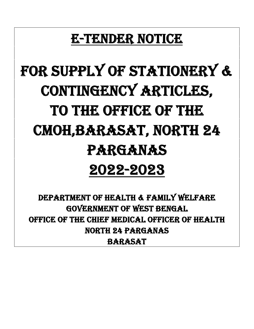## **E-TENDER NOTICE**

# **For Supply of Stationery & Contingency Articles, To the office of the CMOH,Barasat, NORTH 24 PARGANAS 2022-2023**

**DEPARTMENT OF HEALTH & FAMILY WELFARE GOVERNMENT OF WEST BENGAL OFFICE OF THE CHIEF MEDICAL OFFICER OF HEALTH NORTH 24 PARGANAS BARASAT**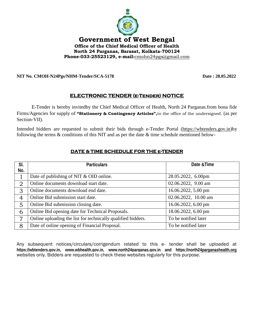

#### **NIT No. CMOH-N24Pgs/NHM-Tender/SCA-5178 Date : 28.05.2022**

#### **ELECTRONIC TENDER (e-Tender) NOTICE**

E-Tender is hereby invitedby the Chief Medical Officer of Health, North 24 Parganas.from bona fide Firms/Agencies for supply of **"Stationery & Contingency Articles",**to the office of the undersigned. (as per Section-VII).

Intended bidders are requested to submit their bids through e-Tender Portal (https://wbtenders.gov.in)by following the terms  $&$  conditions of this NIT and as per the date  $&$  time schedule mentioned below-

| SI.            | <b>Particulars</b>                                           | Date & Time          |
|----------------|--------------------------------------------------------------|----------------------|
| No.            |                                                              |                      |
|                | Date of publishing of NIT & OID online.                      | 28.05.2022, 6.00pm   |
| $\overline{2}$ | Online documents download start date.                        | 02.06.2022, 9.00 am  |
| 3              | Online documents download end date.                          | 16.06.2022, 5.00 pm  |
| 4              | Online Bid submission start date.                            | 02.06.2022, 10.00 am |
| 5              | Online Bid submission closing date.                          | 16.06.2022, 6.00 pm  |
| 6              | Online Bid opening date for Technical Proposals.             | 18.06.2022, 6.00 pm  |
| 7              | Online uploading the list for technically qualified bidders. | To be notified later |
| 8              | Date of online opening of Financial Proposal.                | To be notified later |

#### **DATE & TIME SCHEDULE FOR THE e-TENDER**

Any subsequent notices/circulars/corrigendum related to this e- tender shall be uploaded at **https://wbtenders.gov.in, www.wbhealth.gov.in, www.north24parganas.gov.in and https://north24parganashealth.org** websites only. Bidders are requested to check these websites regularly for this purpose.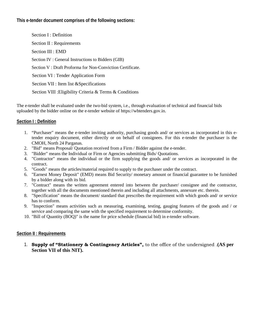#### **This e-tender document comprises of the following sections:**

Section I : Definition Section II : Requirements Section III : EMD Section IV : General Instructions to Bidders (GIB) Section V : Draft Proforma for Non-Conviction Certificate. Section VI : Tender Application Form Section VII : Item list &Specifications Section VIII :Eligibility Criteria & Terms & Conditions

The e-tender shall be evaluated under the two-bid system, i.e., through evaluation of technical and financial bids uploaded by the bidder online on the e-tender website of https://wbtenders.gov.in.

#### **Section I : Definition**

- 1. "Purchaser" means the e-tender inviting authority, purchasing goods and/ or services as incorporated in this etender enquiry document, either directly or on behalf of consignees. For this e-tender the purchaser is the CMOH, North 24 Parganas.
- 2. "Bid" means Proposal/ Quotation received from a Firm / Bidder against the e-tender.
- 3. "Bidder" means the Individual or Firm or Agencies submitting Bids/ Quotations.
- 4. "Contractor" means the individual or the firm supplying the goods and/ or services as incorporated in the contract.
- 5. "Goods" means the articles/material required to supply to the purchaser under the contract.
- 6. "Earnest Money Deposit" (EMD) means Bid Security/ monetary amount or financial guarantee to be furnished by a bidder along with its bid.
- 7. "Contract" means the written agreement entered into between the purchaser/ consignee and the contractor, together with all the documents mentioned therein and including all attachments, annexure etc. therein.
- 8. "Specification" means the document/ standard that prescribes the requirement with which goods and/ or service has to conform.
- 9. "Inspection" means activities such as measuring, examining, testing, gauging features of the goods and / or service and comparing the same with the specified requirement to determine conformity.
- 10. "Bill of Quantity (BOQ)" is the name for price schedule (financial bid) in e-tender software.

#### **Section II : Requirements**

1. **Supply of "Stationery & Contingency Articles",** to the office of the undersigned .**(AS per Section VII of this NIT).**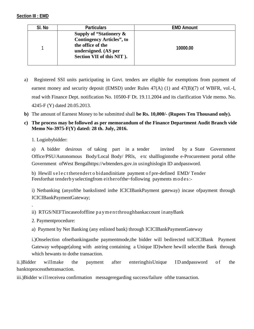#### **Section III : EMD**

| SI. No | <b>Particulars</b>                                                                                                                    | <b>EMD Amount</b> |
|--------|---------------------------------------------------------------------------------------------------------------------------------------|-------------------|
|        | Supply of "Stationery &<br><b>Contingency Articles", to</b><br>the office of the<br>undersigned. (AS per<br>Section VII of this NIT). | 10000.00          |

- a) Registered SSI units participating in Govt. tenders are eligible for exemptions from payment of earnest money and security deposit (EMSD) under Rules 47(A) (1) and 47(B)(7) of WBFR, vol.-I, read with Finance Dept. notification No. 10500-F Dt. 19.11.2004 and its clarification Vide memo. No. 4245-F (Y) dated 20.05.2013.
- **b)** The amount of Earnest Money to be submitted shall **be Rs. 10,000/- (Rupees Ten Thousand only).**
- **c) The process may be followed as per memorandum of the Finance Department Audit Branch vide Memo No-3975-F(Y) dated: 28 th. July, 2016.**

1. Loginbybidder:

a) A bidder desirous of taking part in a tender invited by a State Government Office/PSU/Autonomous Body/Local Body/ PRls, e tc shalllogintothe e-Procurement portal ofthe Government ofWest Bengalhttps://wbtenders.gov.in usinghislogin ID andpassword. a) A bidder desirous of taking part in a tender invited by a State Govern Office/PSU/Autonomous Body/Local Body/ PRIs, etc shall logint othe e-Procurement por Government of West Bengalhttps://wbtenders.gov.in using his log a) A bidder desirous of taking part in a tender invited by a State<br>Office/PSU/Autonomous Body/Local Body/ PRIs, etc shalllogintothe e-Procureme<br>Government of West Bengalhttps://wbtenders.gov.in usinghislogin ID and<br>passwor

i) Netbanking (anyofthe bankslisted inthe ICICIBankPayment gateway) incase ofpayment through ICICIBankPaymentGateway; i) Netbanking (anyofthe bankslisted inthe ICICIBankPayment gateway) incase of<br>ICICIBankPaymentGateway;<br>ii) RTGS/NEFTincaseofoffline p a ym e n tthroughbankaccount in anyBank<br>2. Paymentprocedure:

2. Paymentprocedure:

a) Payment by Net Banking (any enlisted bank) through ICICIBankPaymentGateway

i.)Onselection ofnetbankingasthe paymentmode,the bidder will bedirected toICICIBank Payment Gateway webpage(along with astring containing a Unique ID)where hewill selectthe Bank through which hewants to dothe transaction. i.)Onselection ofnetbankingasthe paymentmode, the bidder will bedirected to ICICIBank Payment<br>Gateway webpage(along with astring containing a Unique ID) where he will select the Bank through<br>which hewants to dothe transact

banktoprocessthetransaction.

iii.)Bidder willreceivea confirmation messageregarding success/failure ofthe transaction.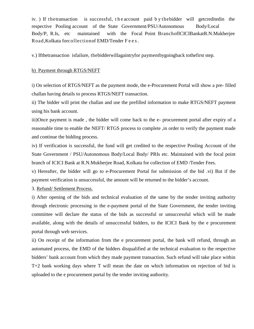iv. ) If thetransaction is successful, the account paid b y the bidder will getcreditedin the<br>respective Pooling account of the State Government/PSU/Autonomous Body/Local respective Pooling account of the State Government/PSU/Autonomous Body/Local Body/P, R.Is, etc maintained with the Focal Point BranchofICICIBankatR.N.Mukherjee iv. ) If the transaction is successful, the account paid by the bidder will getcredited in the respective Pooling account of the State Government/PSU/Autonomous Body/Local Body/P, R.Is, etc maintained with the Focal Point

v.) Ifthetransaction isfailure, thebidderwillagaintryfor paymentbygoingback tothefirst step.

#### b) Payment through RTGS/NEFT

i) On selection of RTGS/NEFT as the payment mode, the e-Procurement Portal will show a pre- filled challan having details to process RTGS/NEFT transaction.

ii) The bidder will print the challan and use the prefilled information to make RTGS/NEFT payment using his bank account.

iii)Once payment is made , the bidder will come back to the e- procurement portal after expiry of a reasonable time to enable the NEFT/ RTGS process to complete ,in order to verify the payment made and continue the bidding process.

iv) If verification is successful, the fund will get credited to the respective Pooling Account of the State Government / PSU/Autonomous Body/Local Body/ PRIs etc. Maintained with the focal point branch of ICICI Bank at R.N.Mukherjee Road, Kolkata for collection of EMD /Tender Fees.

v) Hereafter, the bidder will go to e-Procurement Portal for submission of the bid .vi) But if the payment verification is unsuccessful, the amount will be returned to the bidder's account.

3. Refund/ Settlement Process.

i) After opening of the bids and technical evaluation of the same by the tender inviting authority through electronic processing in the e-payment portal of the State Government, the tender inviting committee will declare the status of the bids as successful or unsuccessful which will be made available, along with the details of unsuccessful bidders, to the ICICI Bank by the e procurement portal through web services.

ii) On receipt of the information from the e procurement portal, the bank will refund, through an automated process, the EMD of the bidders disqualified at the technical evaluation to the respective bidders' bank account from which they made payment transaction. Such refund will take place within T+2 bank working days where T will mean the date on which information on rejection of bid is uploaded to the e procurement portal by the tender inviting authority.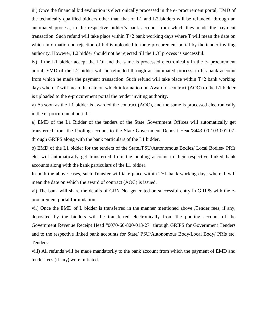iii) Once the financial bid evaluation is electronically processed in the e- procurement portal, EMD of the technically qualified bidders other than that of L1 and L2 bidders will be refunded, through an automated process, to the respective bidder's bank account from which they made the payment transaction. Such refund will take place within  $T+2$  bank working days where T will mean the date on which information on rejection of bid is uploaded to the e procurement portal by the tender inviting authority. However, L2 bidder should not be rejected till the LOI process is successful.

iv) If the L1 bidder accept the LOI and the same is processed electronically in the e- procurement portal, EMD of the L2 bidder will be refunded through an automated process, to his bank account from which he made the payment transaction. Such refund will take place within T+2 bank working days where T will mean the date on which information on Award of contract (AOC) to the L1 bidder is uploaded to the e-procurement portal the tender inviting authority.

v) As soon as the L1 bidder is awarded the contract (AOC), and the same is processed electronically in the e- procurement portal –

a) EMD of the L1 Bidder of the tenders of the State Government Offices will automatically get transferred from the Pooling account to the State Government Deposit Head'8443-00-103-001-07' through GRIPS along with the bank particulars of the L1 bidder.

b) EMD of the L1 bidder for the tenders of the State,/PSU/Autonomous Bodies/ Local Bodies/ PRIs etc. will automatically get transferred from the pooling account to their respective linked bank accounts along with the bank particulars of the L1 bidder.

In both the above cases, such Transfer will take place within  $T+1$  bank working days where T will mean the date on which the award of contract (AOC) is issued.

vi) The bank will share the details of GRN No. generated on successful entry in GRIPS with the e procurement portal for updation.

vii) Once the EMD of L bidder is transferred in the manner mentioned above ,Tender fees, if any, deposited by the bidders will be transferred electronically from the pooling account of the Government Revenue Receipt Head "0070-60-800-013-27" through GRIPS for Government Tenders and to the respective linked bank accounts for State/ PSU/Autonomous Body/Local Body/ PRIs etc. Tenders.

viii) All refunds will be made mandatorily to the bank account from which the payment of EMD and tender fees (if any) were initiated.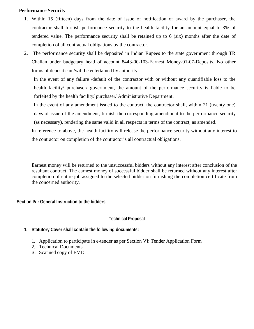#### **Performance Security**

- 1. Within 15 (fifteen) days from the date of issue of notification of award by the purchaser, the contractor shall furnish performance security to the health facility for an amount equal to 3% of tendered value. The performance security shall be retained up to 6 (six) months after the date of completion of all contractual obligations by the contractor.
- 2. The performance security shall be deposited in Indian Rupees to the state government through TR Challan under budgetary head of account 8443-00-103-Earnest Money-01-07-Deposits. No other forms of deposit can /will be entertained by authority.

In the event of any failure /default of the contractor with or without any quantifiable loss to the health facility/ purchaser/ government, the amount of the performance security is liable to be forfeited by the health facility/ purchaser/ Administrative Department.

In the event of any amendment issued to the contract, the contractor shall, within 21 (twenty one) days of issue of the amendment, furnish the corresponding amendment to the performance security (as necessary), rendering the same valid in all respects in terms of the contract, as amended.

In reference to above, the health facility will release the performance security without any interest to the contractor on completion of the contractor's all contractual obligations.

Earnest money will be returned to the unsuccessful bidders without any interest after conclusion of the resultant contract. The earnest money of successful bidder shall be returned without any interest after completion of entire job assigned to the selected bidder on furnishing the completion certificate from the concerned authority.

#### **Section IV : General Instruction to the bidders**

#### **Technical Proposal**

#### **1. Statutory Cover shall contain the following documents:**

- 1. Application to participate in e-tender as per Section VI: Tender Application Form
- 2. Technical Documents
- 3. Scanned copy of EMD.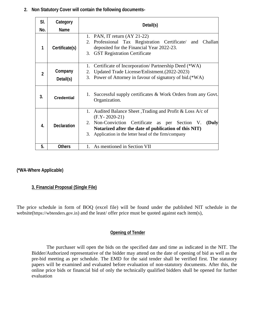**2. Non Statutory Cover will contain the following documents-**

| SI.<br>No.              | Category<br><b>Name</b> | Detail(s)                                                                                                                                                                                                                                                             |  |
|-------------------------|-------------------------|-----------------------------------------------------------------------------------------------------------------------------------------------------------------------------------------------------------------------------------------------------------------------|--|
| 1                       | Certificate(s)          | 1. PAN, IT return $(AY 21-22)$<br>2. Professional Tax Registration Certificate/ and Challan<br>deposited for the Financial Year 2022-23.<br>3. GST Registration Certificate                                                                                           |  |
| $\mathbf 2$             | Company<br>Detail(s)    | Certificate of Incorporation/ Partnership Deed (*WA)<br>1.<br>Updated Trade License/Enlistment. (2022-2023)<br>2.<br>3. Power of Attorney in favour of signatory of bid.(*WA)                                                                                         |  |
| 3.                      | <b>Credential</b>       | Successful supply certificates & Work Orders from any Govt.<br>1.<br>Organization.                                                                                                                                                                                    |  |
| $\overline{\mathbf{A}}$ | <b>Declaration</b>      | Audited Balance Sheet , Trading and Profit & Loss A/c of<br>1.<br>$(F.Y - 2020 - 21)$<br>2. Non-Conviction Certificate as per Section V.<br>(Duly<br>Notarized after the date of publication of this NIT)<br>Application in the letter head of the firm/company<br>3. |  |
| 5.                      | <b>Others</b>           | 1. As mentioned in Section VII                                                                                                                                                                                                                                        |  |

#### **(\*WA-Where Applicable)**

#### **3. Financial Proposal (Single File)**

The price schedule in form of BOQ (excel file) will be found under the published NIT schedule in the website(https://wbtenders.gov.in) and the least/ offer price must be quoted against each item(s),

#### **Opening of Tender**

The purchaser will open the bids on the specified date and time as indicated in the NIT. The Bidder/Authorized representative of the bidder may attend on the date of opening of bid as well as the pre-bid meeting as per schedule. The EMD for the said tender shall be verified first. The statutory papers will be examined and evaluated before evaluation of non-statutory documents. After this, the online price bids or financial bid of only the technically qualified bidders shall be opened for further evaluation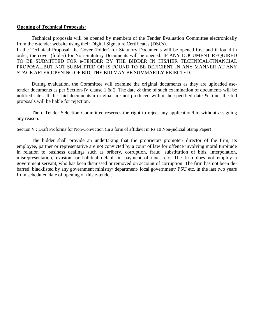#### **Opening of Technical Proposals:**

Technical proposals will be opened by members of the Tender Evaluation Committee electronically from the e-tender website using their Digital Signature Certificates (DSCs).

In the Technical Proposal, the Cover (folder) for Statutory Documents will be opened first and if found in order, the cover (folder) for Non-Statutory Documents will be opened. IF ANY DOCUMENT REQUIRED TO BE SUBMITTED FOR e-TENDER BY THE BIDDER IN HIS/HER TECHNICAL/FINANCIAL PROPOSAL,BUT NOT SUBMITTED OR IS FOUND TO BE DEFICIENT IN ANY MANNER AT ANY STAGE AFTER OPENING OF BID, THE BID MAY BE SUMMARILY REJECTED.

During evaluation, the Committee will examine the original documents as they are uploaded asetender documents as per Section-IV clause 1 & 2. The date  $\&$  time of such examination of documents will be notified later. If the said documentsin original are not produced within the specified date & time, the bid proposals will be liable for rejection.

The e-Tender Selection Committee reserves the right to reject any application/bid without assigning any reason.

Section V : Draft Proforma for Non-Conviction (In a form of affidavit in Rs.10 Non-judicial Stamp Paper)

The bidder shall provide an undertaking that the proprietor/ promoter/ director of the firm, its employee, partner or representative are not convicted by a court of law for offence involving moral turpitude in relation to business dealings such as bribery, corruption, fraud, substitution of bids, interpolation, misrepresentation, evasion, or habitual default in payment of taxes etc. The firm does not employ a government servant, who has been dismissed or removed on account of corruption. The firm has not been de barred, blacklisted by any government ministry/ department/ local government/ PSU etc. in the last two years from scheduled date of opening of this e-tender.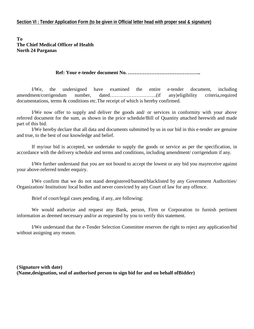**To The Chief Medical Officer of Health North 24 Parganas**

#### **Ref: Your e-tender document No. ……………………………………..**

I/We, the undersigned have examined the entire e-tender document, including amendment/corrigendum number, dated……………………….(if any)eligibility criteria,required documentations, terms & conditions etc.The receipt of which is hereby confirmed.

I/We now offer to supply and deliver the goods and/ or services in conformity with your above referred document for the sum, as shown in the price schedule/Bill of Quantity attached herewith and made part of this bid.

I/We hereby declare that all data and documents submitted by us in our bid in this e-tender are genuine and true, to the best of our knowledge and belief.

If my/our bid is accepted, we undertake to supply the goods or service as per the specification, in accordance with the delivery schedule and terms and conditions, including amendment/ corrigendum if any.

I/We further understand that you are not bound to accept the lowest or any bid you mayreceive against your above-referred tender enquiry.

I/We confirm that we do not stand deregistered/banned/blacklisted by any Government Authorities/ Organization/ Institution/ local bodies and never convicted by any Court of law for any offence.

Brief of court/legal cases pending, if any, are following:

We would authorize and request any Bank, person, Firm or Corporation to furnish pertinent information as deemed necessary and/or as requested by you to verify this statement.

I/We understand that the e-Tender Selection Committee reserves the right to reject any application/bid without assigning any reason.

**(Signature with date) (Name,designation, seal of authorised person to sign bid for and on behalf ofBidder)**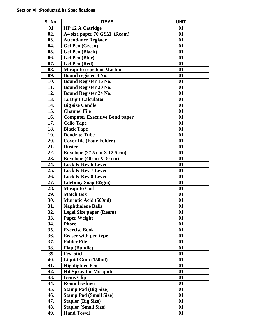| 01<br><b>HP 12 A Catridge</b><br>01<br>02.<br>A4 size paper 70 GSM (Ream)<br>01<br>03.<br><b>Attendance Register</b><br>01<br>04.<br><b>Gel Pen (Green)</b><br>01<br>05.<br>01<br><b>Gel Pen (Black)</b><br>06.<br><b>Gel Pen (Blue)</b><br>01<br>07.<br>Gel Pen (Red)<br>01<br>08.<br><b>Mosquito repellent Machine</b><br>01<br>Bound register 8 No.<br>09.<br>01<br>01<br>10.<br><b>Bound Register 16 No.</b><br><b>Bound Register 20 No.</b><br>01<br>11.<br><b>Bound Register 24 No.</b><br>12.<br>01<br>13.<br>12 Digit Calculator<br>01<br><b>Big size Candle</b><br>14.<br>01<br><b>Channel File</b><br>15.<br>01<br>16.<br>01<br><b>Computer Executive Bond paper</b><br>17.<br><b>Cello Tape</b><br>01<br>18.<br><b>Black Tape</b><br>01<br>19.<br><b>Dendrite Tube</b><br>01<br><b>Cover file (Four Folder)</b><br>01<br>20.<br>21.<br><b>Duster</b><br>01<br>22.<br>Envelope (27.5 cm X 12.5 cm)<br>01<br>23.<br>Envelope $(40 \text{ cm X } 30 \text{ cm})$<br>01<br>Lock & Key 6 Lever<br>01<br>24.<br>Lock & Key 7 Lever<br>25.<br>01<br>26.<br>01<br>Lock & Key 8 Lever<br>27.<br>Lifebuoy Soap (65gm)<br>01<br><b>Mosquito Coil</b><br>01<br>28.<br>29.<br><b>Match Box</b><br>01<br><b>Muriatic Acid (500ml)</b><br>30.<br>01<br>31.<br><b>Naphthalene Balls</b><br>01<br>32.<br><b>Legal Size paper (Ream)</b><br>01<br><b>Paper Weight</b><br>01<br>33.<br>34.<br>01<br><b>Phore</b><br><b>Exercise Book</b><br>01<br>35.<br>01<br>36.<br><b>Eraser with pen type</b><br><b>Folder File</b><br>01<br>37.<br>Flap (Bundle)<br>01<br>38.<br><b>Fevi stick</b><br>39<br>01<br>Liquid Gum (150ml)<br>01<br>40.<br><b>Highlighter Pen</b><br>01<br>41.<br>42.<br><b>Hit Spray for Mosquito</b><br>01<br><b>Gems Clip</b><br>43.<br>01<br>44.<br><b>Room freshner</b><br>01<br>45.<br>01<br><b>Stamp Pad (Big Size)</b><br><b>Stamp Pad (Small Size)</b><br>46.<br>01<br>47.<br><b>Stapler (Big Size)</b><br>01<br>48.<br><b>Stapler (Small Size)</b><br>01 | <b>SI. No.</b> | <b>ITEMS</b>      | <b>UNT</b> |
|---------------------------------------------------------------------------------------------------------------------------------------------------------------------------------------------------------------------------------------------------------------------------------------------------------------------------------------------------------------------------------------------------------------------------------------------------------------------------------------------------------------------------------------------------------------------------------------------------------------------------------------------------------------------------------------------------------------------------------------------------------------------------------------------------------------------------------------------------------------------------------------------------------------------------------------------------------------------------------------------------------------------------------------------------------------------------------------------------------------------------------------------------------------------------------------------------------------------------------------------------------------------------------------------------------------------------------------------------------------------------------------------------------------------------------------------------------------------------------------------------------------------------------------------------------------------------------------------------------------------------------------------------------------------------------------------------------------------------------------------------------------------------------------------------------------------------------------------------------------------------------------------------------------------------------------------------------------------------|----------------|-------------------|------------|
|                                                                                                                                                                                                                                                                                                                                                                                                                                                                                                                                                                                                                                                                                                                                                                                                                                                                                                                                                                                                                                                                                                                                                                                                                                                                                                                                                                                                                                                                                                                                                                                                                                                                                                                                                                                                                                                                                                                                                                           |                |                   |            |
|                                                                                                                                                                                                                                                                                                                                                                                                                                                                                                                                                                                                                                                                                                                                                                                                                                                                                                                                                                                                                                                                                                                                                                                                                                                                                                                                                                                                                                                                                                                                                                                                                                                                                                                                                                                                                                                                                                                                                                           |                |                   |            |
|                                                                                                                                                                                                                                                                                                                                                                                                                                                                                                                                                                                                                                                                                                                                                                                                                                                                                                                                                                                                                                                                                                                                                                                                                                                                                                                                                                                                                                                                                                                                                                                                                                                                                                                                                                                                                                                                                                                                                                           |                |                   |            |
|                                                                                                                                                                                                                                                                                                                                                                                                                                                                                                                                                                                                                                                                                                                                                                                                                                                                                                                                                                                                                                                                                                                                                                                                                                                                                                                                                                                                                                                                                                                                                                                                                                                                                                                                                                                                                                                                                                                                                                           |                |                   |            |
|                                                                                                                                                                                                                                                                                                                                                                                                                                                                                                                                                                                                                                                                                                                                                                                                                                                                                                                                                                                                                                                                                                                                                                                                                                                                                                                                                                                                                                                                                                                                                                                                                                                                                                                                                                                                                                                                                                                                                                           |                |                   |            |
|                                                                                                                                                                                                                                                                                                                                                                                                                                                                                                                                                                                                                                                                                                                                                                                                                                                                                                                                                                                                                                                                                                                                                                                                                                                                                                                                                                                                                                                                                                                                                                                                                                                                                                                                                                                                                                                                                                                                                                           |                |                   |            |
|                                                                                                                                                                                                                                                                                                                                                                                                                                                                                                                                                                                                                                                                                                                                                                                                                                                                                                                                                                                                                                                                                                                                                                                                                                                                                                                                                                                                                                                                                                                                                                                                                                                                                                                                                                                                                                                                                                                                                                           |                |                   |            |
|                                                                                                                                                                                                                                                                                                                                                                                                                                                                                                                                                                                                                                                                                                                                                                                                                                                                                                                                                                                                                                                                                                                                                                                                                                                                                                                                                                                                                                                                                                                                                                                                                                                                                                                                                                                                                                                                                                                                                                           |                |                   |            |
|                                                                                                                                                                                                                                                                                                                                                                                                                                                                                                                                                                                                                                                                                                                                                                                                                                                                                                                                                                                                                                                                                                                                                                                                                                                                                                                                                                                                                                                                                                                                                                                                                                                                                                                                                                                                                                                                                                                                                                           |                |                   |            |
|                                                                                                                                                                                                                                                                                                                                                                                                                                                                                                                                                                                                                                                                                                                                                                                                                                                                                                                                                                                                                                                                                                                                                                                                                                                                                                                                                                                                                                                                                                                                                                                                                                                                                                                                                                                                                                                                                                                                                                           |                |                   |            |
|                                                                                                                                                                                                                                                                                                                                                                                                                                                                                                                                                                                                                                                                                                                                                                                                                                                                                                                                                                                                                                                                                                                                                                                                                                                                                                                                                                                                                                                                                                                                                                                                                                                                                                                                                                                                                                                                                                                                                                           |                |                   |            |
|                                                                                                                                                                                                                                                                                                                                                                                                                                                                                                                                                                                                                                                                                                                                                                                                                                                                                                                                                                                                                                                                                                                                                                                                                                                                                                                                                                                                                                                                                                                                                                                                                                                                                                                                                                                                                                                                                                                                                                           |                |                   |            |
|                                                                                                                                                                                                                                                                                                                                                                                                                                                                                                                                                                                                                                                                                                                                                                                                                                                                                                                                                                                                                                                                                                                                                                                                                                                                                                                                                                                                                                                                                                                                                                                                                                                                                                                                                                                                                                                                                                                                                                           |                |                   |            |
|                                                                                                                                                                                                                                                                                                                                                                                                                                                                                                                                                                                                                                                                                                                                                                                                                                                                                                                                                                                                                                                                                                                                                                                                                                                                                                                                                                                                                                                                                                                                                                                                                                                                                                                                                                                                                                                                                                                                                                           |                |                   |            |
|                                                                                                                                                                                                                                                                                                                                                                                                                                                                                                                                                                                                                                                                                                                                                                                                                                                                                                                                                                                                                                                                                                                                                                                                                                                                                                                                                                                                                                                                                                                                                                                                                                                                                                                                                                                                                                                                                                                                                                           |                |                   |            |
|                                                                                                                                                                                                                                                                                                                                                                                                                                                                                                                                                                                                                                                                                                                                                                                                                                                                                                                                                                                                                                                                                                                                                                                                                                                                                                                                                                                                                                                                                                                                                                                                                                                                                                                                                                                                                                                                                                                                                                           |                |                   |            |
|                                                                                                                                                                                                                                                                                                                                                                                                                                                                                                                                                                                                                                                                                                                                                                                                                                                                                                                                                                                                                                                                                                                                                                                                                                                                                                                                                                                                                                                                                                                                                                                                                                                                                                                                                                                                                                                                                                                                                                           |                |                   |            |
|                                                                                                                                                                                                                                                                                                                                                                                                                                                                                                                                                                                                                                                                                                                                                                                                                                                                                                                                                                                                                                                                                                                                                                                                                                                                                                                                                                                                                                                                                                                                                                                                                                                                                                                                                                                                                                                                                                                                                                           |                |                   |            |
|                                                                                                                                                                                                                                                                                                                                                                                                                                                                                                                                                                                                                                                                                                                                                                                                                                                                                                                                                                                                                                                                                                                                                                                                                                                                                                                                                                                                                                                                                                                                                                                                                                                                                                                                                                                                                                                                                                                                                                           |                |                   |            |
|                                                                                                                                                                                                                                                                                                                                                                                                                                                                                                                                                                                                                                                                                                                                                                                                                                                                                                                                                                                                                                                                                                                                                                                                                                                                                                                                                                                                                                                                                                                                                                                                                                                                                                                                                                                                                                                                                                                                                                           |                |                   |            |
|                                                                                                                                                                                                                                                                                                                                                                                                                                                                                                                                                                                                                                                                                                                                                                                                                                                                                                                                                                                                                                                                                                                                                                                                                                                                                                                                                                                                                                                                                                                                                                                                                                                                                                                                                                                                                                                                                                                                                                           |                |                   |            |
|                                                                                                                                                                                                                                                                                                                                                                                                                                                                                                                                                                                                                                                                                                                                                                                                                                                                                                                                                                                                                                                                                                                                                                                                                                                                                                                                                                                                                                                                                                                                                                                                                                                                                                                                                                                                                                                                                                                                                                           |                |                   |            |
|                                                                                                                                                                                                                                                                                                                                                                                                                                                                                                                                                                                                                                                                                                                                                                                                                                                                                                                                                                                                                                                                                                                                                                                                                                                                                                                                                                                                                                                                                                                                                                                                                                                                                                                                                                                                                                                                                                                                                                           |                |                   |            |
|                                                                                                                                                                                                                                                                                                                                                                                                                                                                                                                                                                                                                                                                                                                                                                                                                                                                                                                                                                                                                                                                                                                                                                                                                                                                                                                                                                                                                                                                                                                                                                                                                                                                                                                                                                                                                                                                                                                                                                           |                |                   |            |
|                                                                                                                                                                                                                                                                                                                                                                                                                                                                                                                                                                                                                                                                                                                                                                                                                                                                                                                                                                                                                                                                                                                                                                                                                                                                                                                                                                                                                                                                                                                                                                                                                                                                                                                                                                                                                                                                                                                                                                           |                |                   |            |
|                                                                                                                                                                                                                                                                                                                                                                                                                                                                                                                                                                                                                                                                                                                                                                                                                                                                                                                                                                                                                                                                                                                                                                                                                                                                                                                                                                                                                                                                                                                                                                                                                                                                                                                                                                                                                                                                                                                                                                           |                |                   |            |
|                                                                                                                                                                                                                                                                                                                                                                                                                                                                                                                                                                                                                                                                                                                                                                                                                                                                                                                                                                                                                                                                                                                                                                                                                                                                                                                                                                                                                                                                                                                                                                                                                                                                                                                                                                                                                                                                                                                                                                           |                |                   |            |
|                                                                                                                                                                                                                                                                                                                                                                                                                                                                                                                                                                                                                                                                                                                                                                                                                                                                                                                                                                                                                                                                                                                                                                                                                                                                                                                                                                                                                                                                                                                                                                                                                                                                                                                                                                                                                                                                                                                                                                           |                |                   |            |
|                                                                                                                                                                                                                                                                                                                                                                                                                                                                                                                                                                                                                                                                                                                                                                                                                                                                                                                                                                                                                                                                                                                                                                                                                                                                                                                                                                                                                                                                                                                                                                                                                                                                                                                                                                                                                                                                                                                                                                           |                |                   |            |
|                                                                                                                                                                                                                                                                                                                                                                                                                                                                                                                                                                                                                                                                                                                                                                                                                                                                                                                                                                                                                                                                                                                                                                                                                                                                                                                                                                                                                                                                                                                                                                                                                                                                                                                                                                                                                                                                                                                                                                           |                |                   |            |
|                                                                                                                                                                                                                                                                                                                                                                                                                                                                                                                                                                                                                                                                                                                                                                                                                                                                                                                                                                                                                                                                                                                                                                                                                                                                                                                                                                                                                                                                                                                                                                                                                                                                                                                                                                                                                                                                                                                                                                           |                |                   |            |
|                                                                                                                                                                                                                                                                                                                                                                                                                                                                                                                                                                                                                                                                                                                                                                                                                                                                                                                                                                                                                                                                                                                                                                                                                                                                                                                                                                                                                                                                                                                                                                                                                                                                                                                                                                                                                                                                                                                                                                           |                |                   |            |
|                                                                                                                                                                                                                                                                                                                                                                                                                                                                                                                                                                                                                                                                                                                                                                                                                                                                                                                                                                                                                                                                                                                                                                                                                                                                                                                                                                                                                                                                                                                                                                                                                                                                                                                                                                                                                                                                                                                                                                           |                |                   |            |
|                                                                                                                                                                                                                                                                                                                                                                                                                                                                                                                                                                                                                                                                                                                                                                                                                                                                                                                                                                                                                                                                                                                                                                                                                                                                                                                                                                                                                                                                                                                                                                                                                                                                                                                                                                                                                                                                                                                                                                           |                |                   |            |
|                                                                                                                                                                                                                                                                                                                                                                                                                                                                                                                                                                                                                                                                                                                                                                                                                                                                                                                                                                                                                                                                                                                                                                                                                                                                                                                                                                                                                                                                                                                                                                                                                                                                                                                                                                                                                                                                                                                                                                           |                |                   |            |
|                                                                                                                                                                                                                                                                                                                                                                                                                                                                                                                                                                                                                                                                                                                                                                                                                                                                                                                                                                                                                                                                                                                                                                                                                                                                                                                                                                                                                                                                                                                                                                                                                                                                                                                                                                                                                                                                                                                                                                           |                |                   |            |
|                                                                                                                                                                                                                                                                                                                                                                                                                                                                                                                                                                                                                                                                                                                                                                                                                                                                                                                                                                                                                                                                                                                                                                                                                                                                                                                                                                                                                                                                                                                                                                                                                                                                                                                                                                                                                                                                                                                                                                           |                |                   |            |
|                                                                                                                                                                                                                                                                                                                                                                                                                                                                                                                                                                                                                                                                                                                                                                                                                                                                                                                                                                                                                                                                                                                                                                                                                                                                                                                                                                                                                                                                                                                                                                                                                                                                                                                                                                                                                                                                                                                                                                           |                |                   |            |
|                                                                                                                                                                                                                                                                                                                                                                                                                                                                                                                                                                                                                                                                                                                                                                                                                                                                                                                                                                                                                                                                                                                                                                                                                                                                                                                                                                                                                                                                                                                                                                                                                                                                                                                                                                                                                                                                                                                                                                           |                |                   |            |
|                                                                                                                                                                                                                                                                                                                                                                                                                                                                                                                                                                                                                                                                                                                                                                                                                                                                                                                                                                                                                                                                                                                                                                                                                                                                                                                                                                                                                                                                                                                                                                                                                                                                                                                                                                                                                                                                                                                                                                           |                |                   |            |
|                                                                                                                                                                                                                                                                                                                                                                                                                                                                                                                                                                                                                                                                                                                                                                                                                                                                                                                                                                                                                                                                                                                                                                                                                                                                                                                                                                                                                                                                                                                                                                                                                                                                                                                                                                                                                                                                                                                                                                           |                |                   |            |
|                                                                                                                                                                                                                                                                                                                                                                                                                                                                                                                                                                                                                                                                                                                                                                                                                                                                                                                                                                                                                                                                                                                                                                                                                                                                                                                                                                                                                                                                                                                                                                                                                                                                                                                                                                                                                                                                                                                                                                           |                |                   |            |
|                                                                                                                                                                                                                                                                                                                                                                                                                                                                                                                                                                                                                                                                                                                                                                                                                                                                                                                                                                                                                                                                                                                                                                                                                                                                                                                                                                                                                                                                                                                                                                                                                                                                                                                                                                                                                                                                                                                                                                           |                |                   |            |
|                                                                                                                                                                                                                                                                                                                                                                                                                                                                                                                                                                                                                                                                                                                                                                                                                                                                                                                                                                                                                                                                                                                                                                                                                                                                                                                                                                                                                                                                                                                                                                                                                                                                                                                                                                                                                                                                                                                                                                           |                |                   |            |
|                                                                                                                                                                                                                                                                                                                                                                                                                                                                                                                                                                                                                                                                                                                                                                                                                                                                                                                                                                                                                                                                                                                                                                                                                                                                                                                                                                                                                                                                                                                                                                                                                                                                                                                                                                                                                                                                                                                                                                           |                |                   |            |
|                                                                                                                                                                                                                                                                                                                                                                                                                                                                                                                                                                                                                                                                                                                                                                                                                                                                                                                                                                                                                                                                                                                                                                                                                                                                                                                                                                                                                                                                                                                                                                                                                                                                                                                                                                                                                                                                                                                                                                           |                |                   |            |
|                                                                                                                                                                                                                                                                                                                                                                                                                                                                                                                                                                                                                                                                                                                                                                                                                                                                                                                                                                                                                                                                                                                                                                                                                                                                                                                                                                                                                                                                                                                                                                                                                                                                                                                                                                                                                                                                                                                                                                           |                |                   |            |
|                                                                                                                                                                                                                                                                                                                                                                                                                                                                                                                                                                                                                                                                                                                                                                                                                                                                                                                                                                                                                                                                                                                                                                                                                                                                                                                                                                                                                                                                                                                                                                                                                                                                                                                                                                                                                                                                                                                                                                           |                |                   |            |
|                                                                                                                                                                                                                                                                                                                                                                                                                                                                                                                                                                                                                                                                                                                                                                                                                                                                                                                                                                                                                                                                                                                                                                                                                                                                                                                                                                                                                                                                                                                                                                                                                                                                                                                                                                                                                                                                                                                                                                           | 49.            | <b>Hand Towel</b> | 01         |

 $\overline{\phantom{a}}$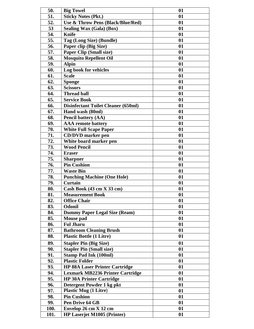| 50.        | <b>Big Towel</b>                                          | 01       |
|------------|-----------------------------------------------------------|----------|
| 51.        | <b>Sticky Notes (Pkt.)</b>                                | 01       |
| 52.        | Use & Throw Pens (Black/Blue/Red)                         | 01       |
| 53         | <b>Sealing Wax (Gala) (Box)</b>                           | 01       |
| 54.        | <b>Knife</b>                                              | 01       |
| 55.        | Tag (Long Size) (Bundle)                                  | 01       |
| 56.        | Paper clip (Big Size)                                     | 01       |
| 57.        | <b>Paper Clip (Small size)</b>                            | 01       |
| 58.        | <b>Mosquito Repellent Oil</b>                             | 01       |
| 59.        | <b>Alpin</b>                                              | 01       |
| 60.        | Log book for vehicles                                     | 01       |
| 61.        | <b>Scale</b>                                              | 01       |
| 62.        | <b>Sponge</b>                                             | 01       |
| 63.        | <b>Scissors</b>                                           | 01       |
| 64.        | <b>Thread ball</b>                                        | 01       |
| 65.        | <b>Service Book</b>                                       | 01       |
| 66.        | <b>Disinfectant Toilet Cleaner (650ml)</b>                | 01       |
| 67.        | Hand wash (80ml)                                          | 01       |
| 68.        | <b>Pencil battery (AA)</b>                                | 01       |
| 69.        | <b>AAA</b> remote battery                                 | 01       |
| 70.        | <b>White Full Scape Paper</b>                             | 01       |
| 71.        | <b>CD/DVD</b> marker pen                                  | 01       |
| 72.        | White board marker pen                                    | 01       |
| 73.        | <b>Wood Pencil</b>                                        | 01       |
| 74.        | <b>Eraser</b>                                             | 01       |
| 75.        | <b>Sharpner</b>                                           | 01       |
| 76.        | <b>Pin Cushion</b>                                        | 01       |
| 77.        | <b>Waste Bin</b>                                          | 01       |
| 78.        | <b>Punching Machine (One Hole)</b>                        | 01       |
| 79.        | <b>Curtain</b>                                            | 01       |
| 80.        | Cash Book (43 cm X 33 cm)                                 | 01       |
| 81.        | <b>Measurement Book</b>                                   | 01       |
| 82.        | <b>Office Chair</b>                                       | 01       |
| 83.        | <b>Odonil</b>                                             | 01       |
| 84.        | <b>Dummy Paper Legal Size (Ream)</b>                      | 01       |
| 85.        | <b>Mouse pad</b>                                          | 01       |
| 86.        | <b>Ful Jharu</b>                                          | 01       |
| 87.        | <b>Bathroom Cleaning Brush</b>                            | 01       |
| 88.        | <b>Plastic Bottle (1 Litre)</b>                           | 01       |
| 89.        | <b>Stapler Pin (Big Size)</b>                             | 01       |
| 90.        | <b>Stapler Pin (Small size)</b>                           | 01       |
| 91.        | <b>Stamp Pad Ink (100ml)</b>                              | 01       |
| 92.        | <b>Plastic Folder</b>                                     | 01       |
|            |                                                           |          |
| 93.<br>94. | <b>HP 88A Laser Printer Cartridge</b>                     | 01<br>01 |
|            | <b>Lexmark MB2236 Printer Cartridge</b>                   |          |
| 95.        | <b>HP 30A Printer Cartridge</b>                           | 01<br>01 |
| 96.<br>97. | Detergent Powder 1 kg pkt<br><b>Plastic Mug (1 Litre)</b> | 01       |
|            | <b>Pin Cushion</b>                                        | 01       |
| 98.        |                                                           |          |
| 99.        | Pen Drive 64 GB                                           | 01       |
| 100.       | Envelop 26 cm X 12 cm                                     | 01       |
| 101.       | HP Laserjet M1005 (Printer)                               | 01       |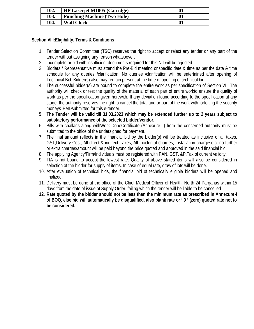| 102. | <b>HP Laserjet M1005 (Catridge)</b> |                |
|------|-------------------------------------|----------------|
| 103. | <b>Punching Machine (Two Hole)</b>  | $\mathbf{0}$ 1 |
| 104. | <b>Wall Clock</b>                   | $\mathbf{0}$ 1 |

#### **Section VIII:Eligibility, Terms & Conditions**

- 1. Tender Selection Committee (TSC) reserves the right to accept or reject any tender or any part of the tender without assigning any reason whatsoever.
- 2. Incomplete or bid with insufficient documents required for this NITwill be rejected.
- 3. Bidders / Representative must attend the Pre-Bid meeting onspecific date & time as per the date & time schedule for any queries /clarification. No queries /clarification will be entertained after opening of Technical Bid. Bidder(s) also may remain present at the time of opening of technical bid.
- 4. The successful bidder(s) are bound to complete the entire work as per specification of Section VII. The authority will check or test the quality of the material of each part of entire workto ensure the quality of work as per the specification given herewith. If any deviation found according to the specification at any stage, the authority reserves the right to cancel the total and or part of the work with forfeiting the security money& EMDsubmitted for this e-tender.
- **5. The Tender will be valid till 31.03.2023 which may be extended further up to 2 years subject to satisfactory performance of the selected bidder/vendor.**
- 6. Bills with challans along withWork DoneCertificate (Annexure-II) from the concerned authority must be submitted to the office of the undersigned for payment.
- 7. The final amount reflects in the financial bid by the bidder(s) will be treated as inclusive of all taxes, GST,Delivery Cost, All direct & indirect Taxes, All Incidental charges, Installation chargesetc. no further or extra charges/amount will be paid beyond the price quoted and approved in the said financial bid.
- 8. The applying Agency/Firm/Individuals must be registered with PAN, GST, &P.Tax of current validity.
- 9. TIA is not bound to accept the lowest rate. Quality of above stated items will also be considered in selection of the bidder for supply of items. In case of equal rate, draw of lots will be done.
- 10. After evaluation of technical bids, the financial bid of technically eligible bidders will be opened and finalized.
- 11. Delivery must be done at the office of the Chief Medical Officer of Health, North 24 Parganas within 15 days from the date of issue of Supply Order, failing which the tender will be liable to be cancelled
- **12. Rate quoted by the bidder should not be less than the minimum rate as prescribed in Annexure-I of BOQ, else bid will automatically be disqualified, also blank rate or ' 0 ' (zero) quoted rate not to be considered.**